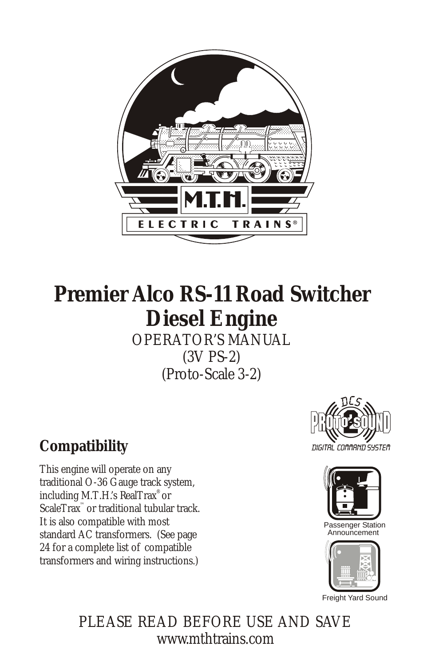

# **Premier Alco RS-11 Road Switcher Diesel Engine** OPERATOR'S MANUAL (3V PS-2) (Proto-Scale 3-2)

# **Compatibility**

This engine will operate on any traditional O-36 Gauge track system, including M.T.H.'s RealTrax<sup>®</sup> or  $ScaleTrax^{\mathbb{N}}$  or traditional tubular track. It is also compatible with most standard AC transformers. (See page 24 for a complete list of compatible transformers and wiring instructions.)





Freight Yard Sound

PLEASE READ BEFORE USE AND SAVE www.mthtrains.com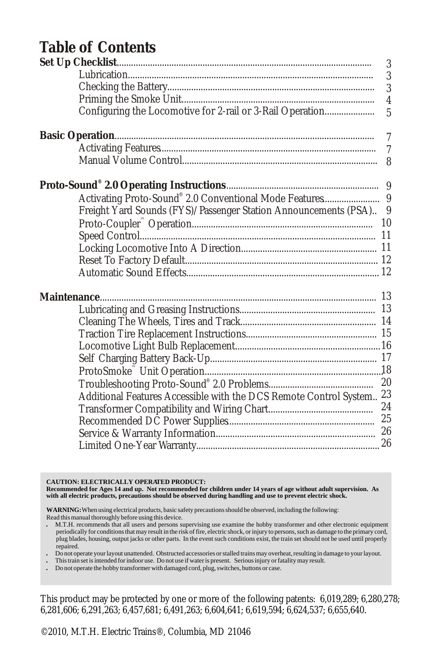### **Table of Contents**

| 3<br>3<br>$\overline{3}$<br>$\overline{4}$<br>Configuring the Locomotive for 2-rail or 3-Rail Operation<br>$\overline{5}$<br>Freight Yard Sounds (FYS)/Passenger Station Announcements (PSA) 9 |
|------------------------------------------------------------------------------------------------------------------------------------------------------------------------------------------------|
|                                                                                                                                                                                                |
|                                                                                                                                                                                                |
|                                                                                                                                                                                                |
|                                                                                                                                                                                                |
|                                                                                                                                                                                                |
|                                                                                                                                                                                                |
|                                                                                                                                                                                                |
|                                                                                                                                                                                                |
|                                                                                                                                                                                                |
|                                                                                                                                                                                                |
|                                                                                                                                                                                                |
|                                                                                                                                                                                                |
|                                                                                                                                                                                                |
|                                                                                                                                                                                                |
|                                                                                                                                                                                                |
|                                                                                                                                                                                                |
|                                                                                                                                                                                                |
|                                                                                                                                                                                                |
|                                                                                                                                                                                                |
|                                                                                                                                                                                                |
|                                                                                                                                                                                                |
|                                                                                                                                                                                                |
|                                                                                                                                                                                                |
| Additional Features Accessible with the DCS Remote Control System 23                                                                                                                           |
|                                                                                                                                                                                                |
|                                                                                                                                                                                                |
|                                                                                                                                                                                                |
|                                                                                                                                                                                                |

**CAUTION: ELECTRICALLY OPERATED PRODUCT:** Recommended for Ages 14 and up. Not recommended for children under 14 years of age without adult supervision. As<br>with all electric products, precautions should be observed during handling and use to prevent electric shock.

**WARNING:** When using electrical products, basic safety precautions should be observed, including the following: Read this manual thoroughly before using this device.

- <sup>l</sup> M.T.H. recommends that all users and persons supervising use examine the hobby transformer and other electronic equipment periodically for conditions that may result in the risk of fire, electric shock, or injury to persons, such as damage to the primary cord, plug blades, housing, output jacks or other parts. In the event such conditions exist, the train set should not be used until properly repaired.
- <sup>l</sup> Do not operate your layout unattended. Obstructed accessories or stalled trains may overheat, resulting in damage to your layout.
- <sup>l</sup> This train set is intended for indoor use. Do not use if water is present. Serious injury or fatality may result.

<sup>l</sup> Do not operate the hobby transformer with damaged cord, plug, switches, buttons or case.

This product may be protected by one or more of the following patents: 6,019,289; 6,280,278; 6,281,606; 6,291,263; 6,457,681; 6,491,263; 6,604,641; 6,619,594; 6,624,537; 6,655,640.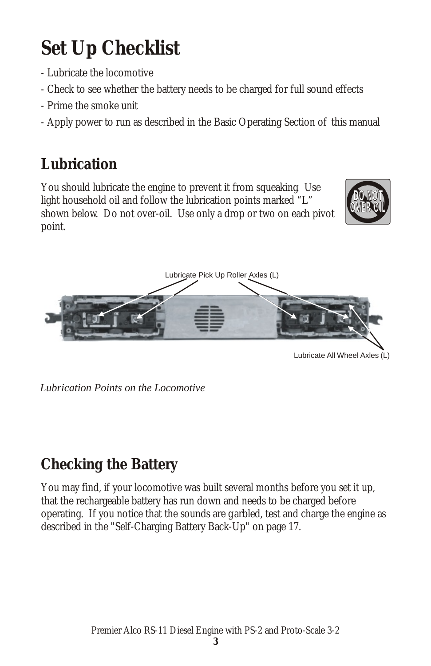# **Set Up Checklist**

- Lubricate the locomotive
- Check to see whether the battery needs to be charged for full sound effects
- Prime the smoke unit
- Apply power to run as described in the Basic Operating Section of this manual

# **Lubrication**

You should lubricate the engine to prevent it from squeaking. Use light household oil and follow the lubrication points marked "L" shown below. Do not over-oil. Use only a drop or two on each pivot point.





Lubricate All Wheel Axles (L)

 *Lubrication Points on the Locomotive*

# **Checking the Battery**

You may find, if your locomotive was built several months before you set it up, that the rechargeable battery has run down and needs to be charged before operating. If you notice that the sounds are garbled, test and charge the engine as described in the "Self-Charging Battery Back-Up" on page 17.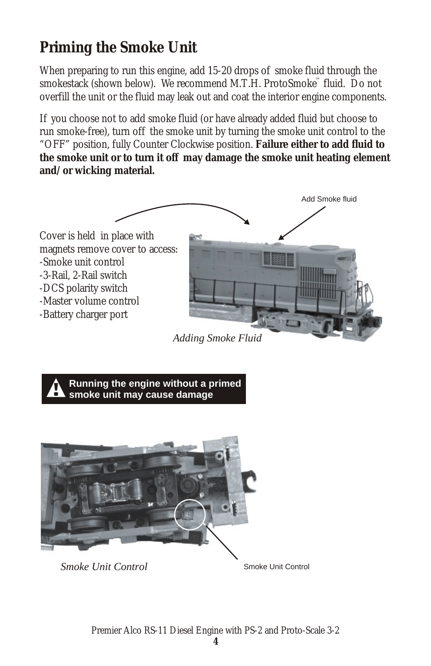# **Priming the Smoke Unit**

When preparing to run this engine, add 15-20 drops of smoke fluid through the smokestack (shown below). We recommend M.T.H. ProtoSmoke™ fluid. Do not overfill the unit or the fluid may leak out and coat the interior engine components.

If you choose not to add smoke fluid (or have already added fluid but choose to run smoke-free), turn off the smoke unit by turning the smoke unit control to the "OFF" position, fully Counter Clockwise position. **Failure either to add fluid to the smoke unit or to turn it off may damage the smoke unit heating element and/or wicking material.**



 *Adding Smoke Fluid*

**Running the engine without a primed smoke unit may cause damage**



 *Smoke Unit Control*

Smoke Unit Control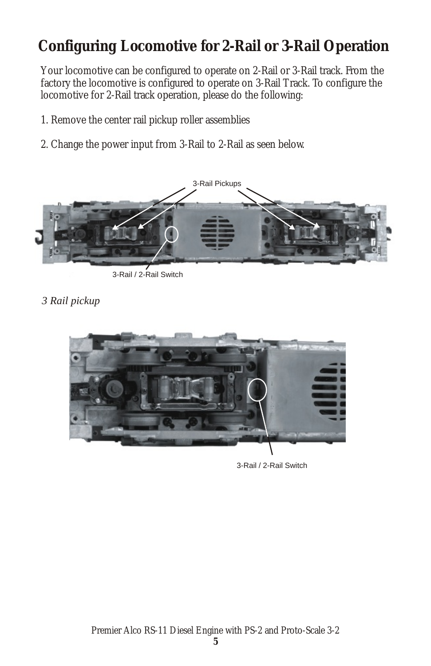## **Configuring Locomotive for 2-Rail or 3-Rail Operation**

Your locomotive can be configured to operate on 2-Rail or 3-Rail track. From the factory the locomotive is configured to operate on 3-Rail Track. To configure the locomotive for 2-Rail track operation, please do the following:

- 1. Remove the center rail pickup roller assemblies
- 2. Change the power input from 3-Rail to 2-Rail as seen below.



3-Rail / 2-Rail Switch

*3 Rail pickup*



3-Rail / 2-Rail Switch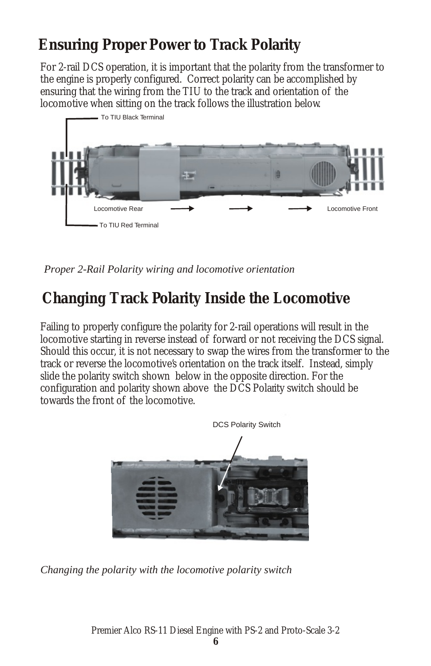# **Ensuring Proper Power to Track Polarity**

For 2-rail DCS operation, it is important that the polarity from the transformer to the engine is properly configured. Correct polarity can be accomplished by ensuring that the wiring from the TIU to the track and orientation of the locomotive when sitting on the track follows the illustration below.



*Proper 2-Rail Polarity wiring and locomotive orientation*

## **Changing Track Polarity Inside the Locomotive**

Failing to properly configure the polarity for 2-rail operations will result in the locomotive starting in reverse instead of forward or not receiving the DCS signal. Should this occur, it is not necessary to swap the wires from the transformer to the track or reverse the locomotive's orientation on the track itself. Instead, simply slide the polarity switch shown below in the opposite direction. For the configuration and polarity shown above the DCS Polarity switch should be towards the front of the locomotive.



*Changing the polarity with the locomotive polarity switch*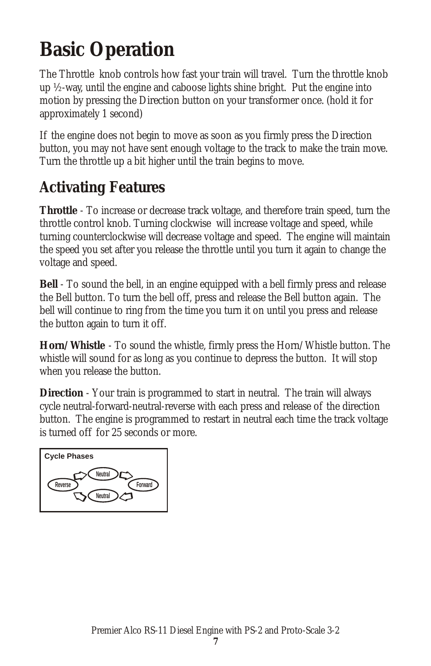# **Basic Operation**

The Throttle knob controls how fast your train will travel. Turn the throttle knob up ½-way, until the engine and caboose lights shine bright. Put the engine into motion by pressing the Direction button on your transformer once. (hold it for approximately 1 second)

If the engine does not begin to move as soon as you firmly press the Direction button, you may not have sent enough voltage to the track to make the train move. Turn the throttle up a bit higher until the train begins to move.

# **Activating Features**

**Throttle** - To increase or decrease track voltage, and therefore train speed, turn the throttle control knob. Turning clockwise will increase voltage and speed, while turning counterclockwise will decrease voltage and speed. The engine will maintain the speed you set after you release the throttle until you turn it again to change the voltage and speed.

**Bell** - To sound the bell, in an engine equipped with a bell firmly press and release the Bell button. To turn the bell off, press and release the Bell button again. The bell will continue to ring from the time you turn it on until you press and release the button again to turn it off.

**Horn/Whistle** - To sound the whistle, firmly press the Horn/Whistle button. The whistle will sound for as long as you continue to depress the button. It will stop when you release the button.

**Direction** - Your train is programmed to start in neutral. The train will always cycle neutral-forward-neutral-reverse with each press and release of the direction button. The engine is programmed to restart in neutral each time the track voltage is turned off for 25 seconds or more.

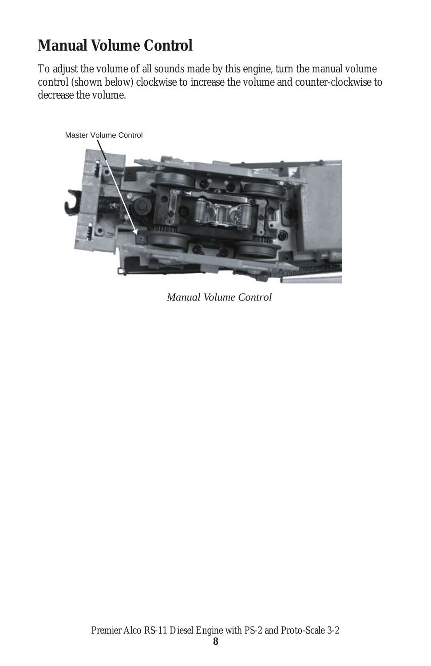# **Manual Volume Control**

To adjust the volume of all sounds made by this engine, turn the manual volume control (shown below) clockwise to increase the volume and counter-clockwise to decrease the volume.



*Manual Volume Control*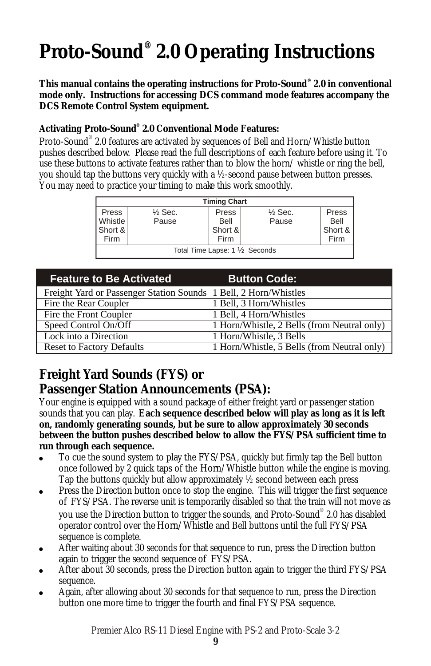# **® Proto-Sound 2.0 Operating Instructions**

This manual contains the operating instructions for Proto-Sound<sup>®</sup> 2.0 in conventional **mode only. Instructions for accessing DCS command mode features accompany the DCS Remote Control System equipment.**

**® Activating Proto-Sound 2.0 Conventional Mode Features:**

Proto-Sound $^\circ$  2.0 features are activated by sequences of Bell and Horn/Whistle button pushes described below. Please read the full descriptions of each feature before using it. To use these buttons to activate features rather than to blow the horn/ whistle or ring the bell, you should tap the buttons very quickly with a ½-second pause between button presses. You may need to practice your timing to make this work smoothly.

| <b>Timing Chart</b>             |                    |         |                    |         |  |
|---------------------------------|--------------------|---------|--------------------|---------|--|
| Press                           | $\frac{1}{2}$ Sec. | Press   | $\frac{1}{2}$ Sec. | Press   |  |
| Whistle                         | Pause              | Bell    | Pause              | Bell    |  |
| Short &                         |                    | Short & |                    | Short & |  |
| Firm                            |                    | Firm    |                    | Firm    |  |
| Total Time Lapse: 1 1/2 Seconds |                    |         |                    |         |  |

| <b>Feature to Be Activated</b>                                    | <b>Button Code:</b>                         |
|-------------------------------------------------------------------|---------------------------------------------|
| Freight Yard or Passenger Station Sounds  1 Bell, 2 Horn/Whistles |                                             |
| Fire the Rear Coupler                                             | 1 Bell, 3 Horn/Whistles                     |
| Fire the Front Coupler                                            | 1 Bell, 4 Horn/Whistles                     |
| Speed Control On/Off                                              | 1 Horn/Whistle, 2 Bells (from Neutral only) |
| Lock into a Direction                                             | 1 Horn/Whistle, 3 Bells                     |
| <b>Reset to Factory Defaults</b>                                  | 1 Horn/Whistle, 5 Bells (from Neutral only) |

#### **Freight Yard Sounds (FYS) or Passenger Station Announcements (PSA):**

Your engine is equipped with a sound package of either freight yard or passenger station sounds that you can play. **Each sequence described below will play as long as it is left on, randomly generating sounds, but be sure to allow approximately 30 seconds between the button pushes described below to allow the FYS/PSA sufficient time to run through each sequence.**

- To cue the sound system to play the FYS/PSA, quickly but firmly tap the Bell button once followed by 2 quick taps of the Horn/Whistle button while the engine is moving. Tap the buttons quickly but allow approximately ½ second between each press.
- Press the Direction button once to stop the engine. This will trigger the first sequence of FYS/PSA. The reverse unit is temporarily disabled so that the train will not move as you use the Direction button to trigger the sounds, and Proto-Sound $^\circ$  2.0 has disabled operator control over the Horn/Whistle and Bell buttons until the full FYS/PSA sequence is complete.
- After waiting about 30 seconds for that sequence to run, press the Direction button again to trigger the second sequence of FYS/PSA.
- After about 30 seconds, press the Direction button again to trigger the third FYS/PSA sequence.
- Again, after allowing about 30 seconds for that sequence to run, press the Direction button one more time to trigger the fourth and final FYS/PSA sequence.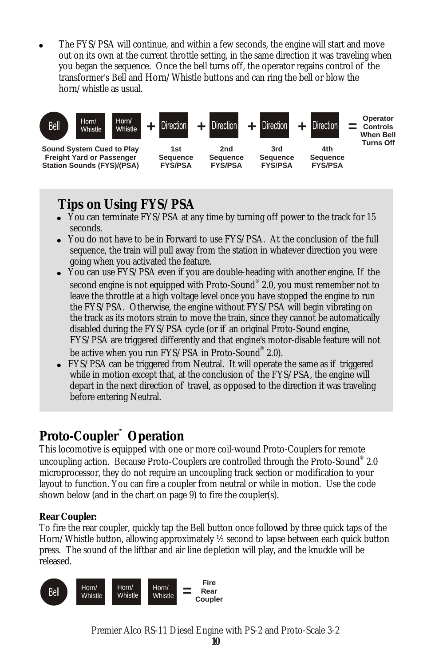The FYS/PSA will continue, and within a few seconds, the engine will start and move out on its own at the current throttle setting, in the same direction it was traveling when you began the sequence. Once the bell turns off, the operator regains control of the transformer's Bell and Horn/Whistle buttons and can ring the bell or blow the horn/whistle as usual.



#### **Tips on Using FYS/PSA**

- You can terminate FYS/PSA at any time by turning off power to the track for 15 seconds.
- ! You do not have to be in Forward to use FYS/PSA. At the conclusion of the full sequence, the train will pull away from the station in whatever direction you were going when you activated the feature.
- You can use FYS/PSA even if you are double-heading with another engine. If the second engine is not equipped with Proto-Sound $^\circ$  2.0, you must remember not to leave the throttle at a high voltage level once you have stopped the engine to run the FYS/PSA. Otherwise, the engine without FYS/PSA will begin vibrating on the track as its motors strain to move the train, since they cannot be automatically disabled during the FYS/PSA cycle (or if an original Proto-Sound engine, FYS/PSA are triggered differently and that engine's motor-disable feature will not be active when you run FYS/PSA in Proto-Sound $^\circ$  2.0).
- ! FYS/PSA can be triggered from Neutral. It will operate the same as if triggered while in motion except that, at the conclusion of the FYS/PSA, the engine will depart in the next direction of travel, as opposed to the direction it was traveling before entering Neutral.

### **™ Proto-Coupler Operation**

This locomotive is equipped with one or more coil-wound Proto-Couplers for remote uncoupling action. Because Proto-Couplers are controlled through the Proto-Sound  $^\circ$  2.0 microprocessor, they do not require an uncoupling track section or modification to your layout to function. You can fire a coupler from neutral or while in motion. Use the code shown below (and in the chart on page 9) to fire the coupler(s).

**Rear Coupler:**

To fire the rear coupler, quickly tap the Bell button once followed by three quick taps of the Horn/Whistle button, allowing approximately ½ second to lapse between each quick button press. The sound of the liftbar and air line depletion will play, and the knuckle will be released.

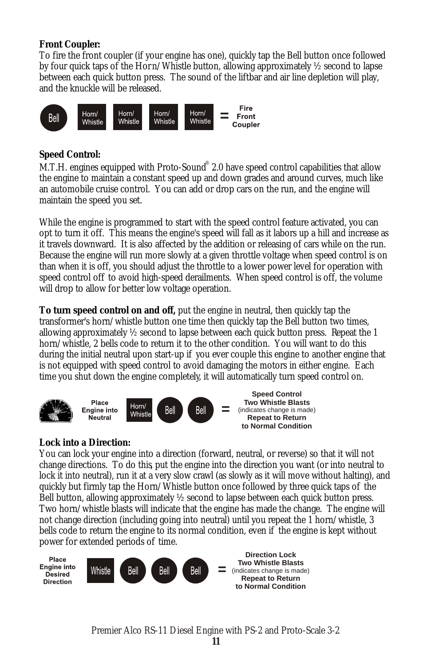**Front Coupler:**

To fire the front coupler (if your engine has one), quickly tap the Bell button once followed by four quick taps of the Horn/Whistle button, allowing approximately ½ second to lapse between each quick button press. The sound of the liftbar and air line depletion will play, and the knuckle will be released.



#### **Speed Control:**

M.T.H. engines equipped with Proto-Sound $^\circ$  2.0 have speed control capabilities that allow the engine to maintain a constant speed up and down grades and around curves, much like an automobile cruise control. You can add or drop cars on the run, and the engine will maintain the speed you set.

While the engine is programmed to start with the speed control feature activated, you can opt to turn it off. This means the engine's speed will fall as it labors up a hill and increase as it travels downward. It is also affected by the addition or releasing of cars while on the run. Because the engine will run more slowly at a given throttle voltage when speed control is on than when it is off, you should adjust the throttle to a lower power level for operation with speed control off to avoid high-speed derailments. When speed control is off, the volume will drop to allow for better low voltage operation.

**To turn speed control on and off,** put the engine in neutral, then quickly tap the transformer's horn/whistle button one time then quickly tap the Bell button two times, allowing approximately ½ second to lapse between each quick button press. Repeat the 1 horn/whistle, 2 bells code to return it to the other condition. You will want to do this during the initial neutral upon start-up if you ever couple this engine to another engine that is not equipped with speed control to avoid damaging the motors in either engine. Each time you shut down the engine completely, it will automatically turn speed control on.



#### **Lock into a Direction:**

You can lock your engine into a direction (forward, neutral, or reverse) so that it will not change directions. To do this, put the engine into the direction you want (or into neutral to lock it into neutral), run it at a very slow crawl (as slowly as it will move without halting), and quickly but firmly tap the Horn/Whistle button once followed by three quick taps of the Bell button, allowing approximately ½ second to lapse between each quick button press. Two horn/whistle blasts will indicate that the engine has made the change. The engine will not change direction (including going into neutral) until you repeat the 1 horn/whistle, 3 bells code to return the engine to its normal condition, even if the engine is kept without power for extended periods of time.

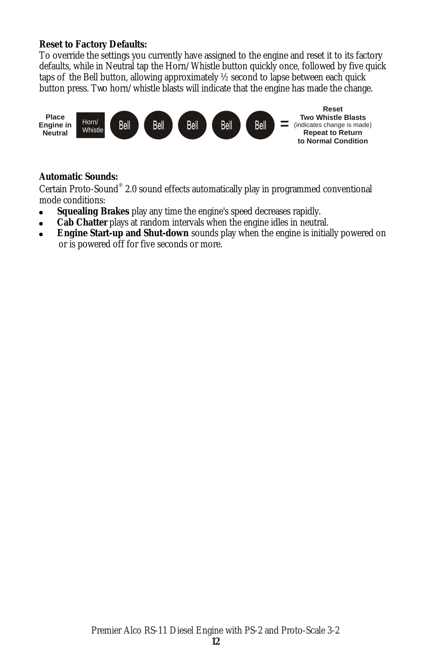**Reset to Factory Defaults:**

To override the settings you currently have assigned to the engine and reset it to its factory defaults, while in Neutral tap the Horn/Whistle button quickly once, followed by five quick taps of the Bell button, allowing approximately  $\frac{1}{2}$  second to lapse between each quick button press. Two horn/whistle blasts will indicate that the engine has made the change.



**Automatic Sounds:**

Certain Proto-Sound® 2.0 sound effects automatically play in programmed conventional mode conditions:

- ! **Squealing Brakes** play any time the engine's speed decreases rapidly.
- ! **Cab Chatter** plays at random intervals when the engine idles in neutral.
- ! **Engine Start-up and Shut-down** sounds play when the engine is initially powered on or is powered off for five seconds or more.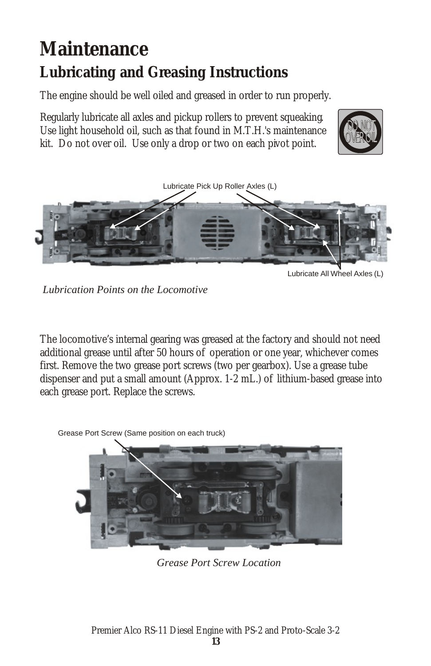# **Maintenance Lubricating and Greasing Instructions**

The engine should be well oiled and greased in order to run properly.

Regularly lubricate all axles and pickup rollers to prevent squeaking. Use light household oil, such as that found in M.T.H.'s maintenance kit. Do not over oil. Use only a drop or two on each pivot point.





Lubricate All Wheel Axles (L)

*Lubrication Points on the Locomotive*

The locomotive's internal gearing was greased at the factory and should not need additional grease until after 50 hours of operation or one year, whichever comes first. Remove the two grease port screws (two per gearbox). Use a grease tube dispenser and put a small amount (Approx. 1-2 mL.) of lithium-based grease into each grease port. Replace the screws.





*Grease Port Screw Location*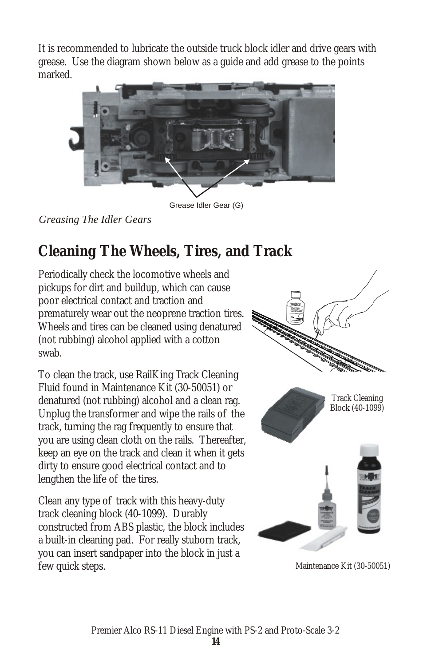It is recommended to lubricate the outside truck block idler and drive gears with grease. Use the diagram shown below as a guide and add grease to the points marked.



Grease Idler Gear (G)

 *Greasing The Idler Gears*

## **Cleaning The Wheels, Tires, and Track**

Periodically check the locomotive wheels and pickups for dirt and buildup, which can cause poor electrical contact and traction and prematurely wear out the neoprene traction tires. Wheels and tires can be cleaned using denatured (not rubbing) alcohol applied with a cotton swab.

To clean the track, use RailKing Track Cleaning Fluid found in Maintenance Kit (30-50051) or denatured (not rubbing) alcohol and a clean rag. Unplug the transformer and wipe the rails of the track, turning the rag frequently to ensure that you are using clean cloth on the rails. Thereafter, keep an eye on the track and clean it when it gets dirty to ensure good electrical contact and to lengthen the life of the tires.

Clean any type of track with this heavy-duty track cleaning block (40-1099). Durably constructed from ABS plastic, the block includes a built-in cleaning pad. For really stuborn track, you can insert sandpaper into the block in just a few quick steps.



Maintenance Kit (30-50051)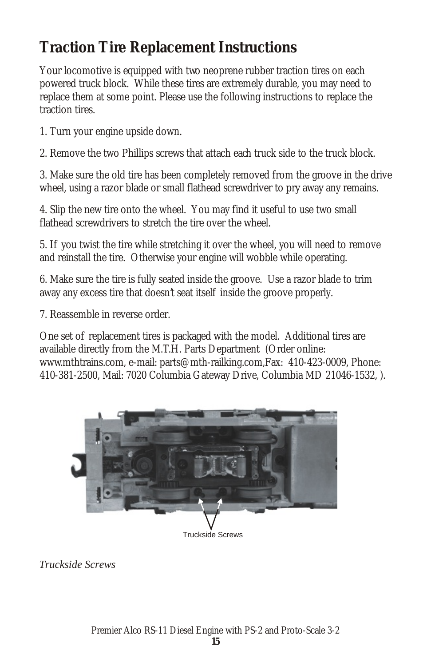# **Traction Tire Replacement Instructions**

Your locomotive is equipped with two neoprene rubber traction tires on each powered truck block. While these tires are extremely durable, you may need to replace them at some point. Please use the following instructions to replace the traction tires.

1. Turn your engine upside down.

2. Remove the two Phillips screws that attach each truck side to the truck block.

3. Make sure the old tire has been completely removed from the groove in the drive wheel, using a razor blade or small flathead screwdriver to pry away any remains.

4. Slip the new tire onto the wheel. You may find it useful to use two small flathead screwdrivers to stretch the tire over the wheel.

5. If you twist the tire while stretching it over the wheel, you will need to remove and reinstall the tire. Otherwise your engine will wobble while operating.

6. Make sure the tire is fully seated inside the groove. Use a razor blade to trim away any excess tire that doesn't seat itself inside the groove properly.

7. Reassemble in reverse order.

One set of replacement tires is packaged with the model. Additional tires are available directly from the M.T.H. Parts Department (Order online: www.mthtrains.com, e-mail: parts@mth-railking.com,Fax: 410-423-0009, Phone: 410-381-2500, Mail: 7020 Columbia Gateway Drive, Columbia MD 21046-1532, ).



*Truckside Screws*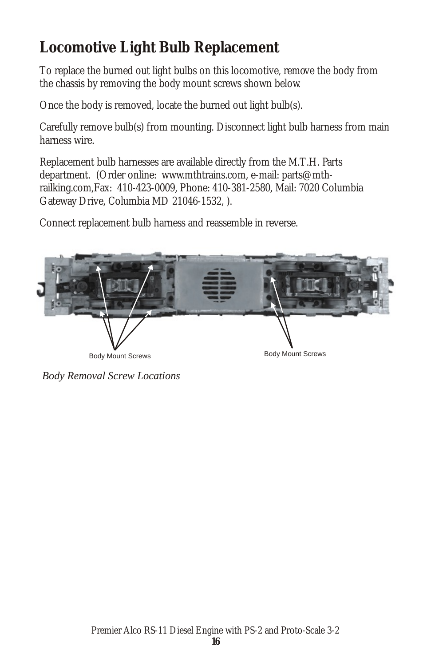# **Locomotive Light Bulb Replacement**

To replace the burned out light bulbs on this locomotive, remove the body from the chassis by removing the body mount screws shown below.

Once the body is removed, locate the burned out light bulb(s).

Carefully remove bulb(s) from mounting. Disconnect light bulb harness from main harness wire.

Replacement bulb harnesses are available directly from the M.T.H. Parts department. (Order online: www.mthtrains.com, e-mail: parts@mthrailking.com,Fax: 410-423-0009, Phone: 410-381-2580, Mail: 7020 Columbia Gateway Drive, Columbia MD 21046-1532, ).

Connect replacement bulb harness and reassemble in reverse.



*Body Removal Screw Locations*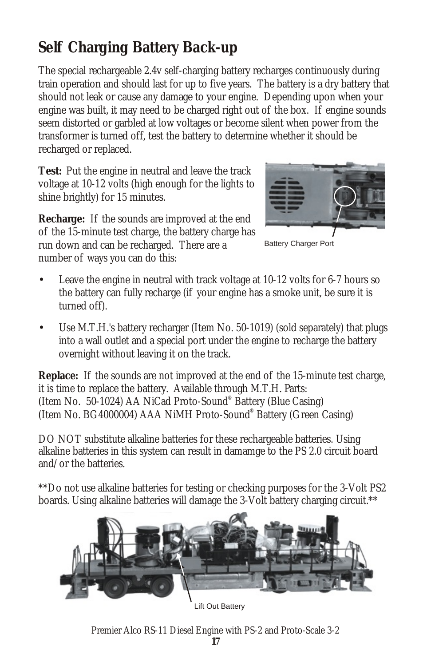# **Self Charging Battery Back-up**

The special rechargeable 2.4v self-charging battery recharges continuously during train operation and should last for up to five years. The battery is a dry battery that should not leak or cause any damage to your engine. Depending upon when your engine was built, it may need to be charged right out of the box. If engine sounds seem distorted or garbled at low voltages or become silent when power from the transformer is turned off, test the battery to determine whether it should be recharged or replaced.

**Test:** Put the engine in neutral and leave the track voltage at 10-12 volts (high enough for the lights to shine brightly) for 15 minutes.

**Recharge:** If the sounds are improved at the end of the 15-minute test charge, the battery charge has run down and can be recharged. There are a number of ways you can do this:



Battery Charger Port

- Leave the engine in neutral with track voltage at 10-12 volts for 6-7 hours so the battery can fully recharge (if your engine has a smoke unit, be sure it is turned off).
- Use M.T.H.'s battery recharger (Item No. 50-1019) (sold separately) that plugs into a wall outlet and a special port under the engine to recharge the battery overnight without leaving it on the track.

**Replace:** If the sounds are not improved at the end of the 15-minute test charge, it is time to replace the battery. Available through M.T.H. Parts: (Item No. 50-1024) AA NiCad Proto-Sound® Battery (Blue Casing) (Item No. BG4000004) AAA NiMH Proto-Sound® Battery (Green Casing)

DO NOT substitute alkaline batteries for these rechargeable batteries. Using alkaline batteries in this system can result in damamge to the PS 2.0 circuit board and/or the batteries.

\*\*Do not use alkaline batteries for testing or checking purposes for the 3-Volt PS2 boards. Using alkaline batteries will damage the 3-Volt battery charging circuit.\*\*



Lift Out Battery

Premier Alco RS-11 Diesel Engine with PS-2 and Proto-Scale 3-2 **17**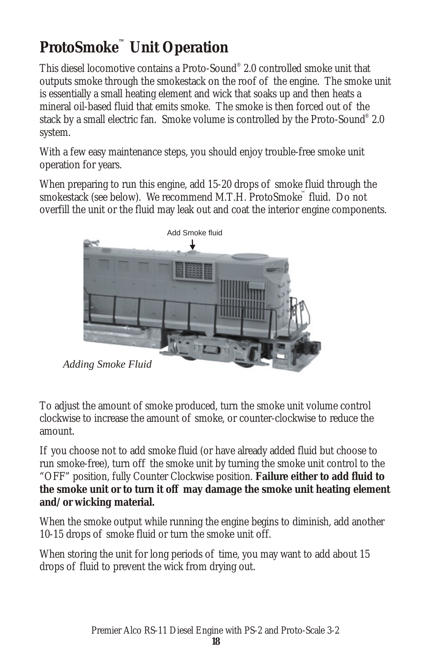# **ProtoSmoke™** Unit Operation

This diesel locomotive contains a Proto-Sound® 2.0 controlled smoke unit that outputs smoke through the smokestack on the roof of the engine. The smoke unit is essentially a small heating element and wick that soaks up and then heats a mineral oil-based fluid that emits smoke. The smoke is then forced out of the stack by a small electric fan. Smoke volume is controlled by the Proto-Sound® 2.0 system.

With a few easy maintenance steps, you should enjoy trouble-free smoke unit operation for years.

When preparing to run this engine, add 15-20 drops of smoke fluid through the smokestack (see below). We recommend M.T.H. ProtoSmoke™ fluid. Do not overfill the unit or the fluid may leak out and coat the interior engine components.



To adjust the amount of smoke produced, turn the smoke unit volume control clockwise to increase the amount of smoke, or counter-clockwise to reduce the amount.

If you choose not to add smoke fluid (or have already added fluid but choose to run smoke-free), turn off the smoke unit by turning the smoke unit control to the "OFF" position, fully Counter Clockwise position. **Failure either to add fluid to the smoke unit or to turn it off may damage the smoke unit heating element and/or wicking material.**

When the smoke output while running the engine begins to diminish, add another 10-15 drops of smoke fluid or turn the smoke unit off.

When storing the unit for long periods of time, you may want to add about 15 drops of fluid to prevent the wick from drying out.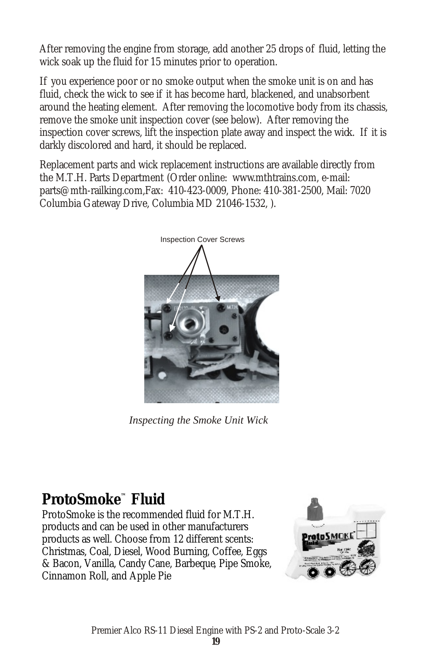After removing the engine from storage, add another 25 drops of fluid, letting the wick soak up the fluid for 15 minutes prior to operation.

If you experience poor or no smoke output when the smoke unit is on and has fluid, check the wick to see if it has become hard, blackened, and unabsorbent around the heating element. After removing the locomotive body from its chassis, remove the smoke unit inspection cover (see below). After removing the inspection cover screws, lift the inspection plate away and inspect the wick. If it is darkly discolored and hard, it should be replaced.

Replacement parts and wick replacement instructions are available directly from the M.T.H. Parts Department (Order online: www.mthtrains.com, e-mail: parts@mth-railking.com,Fax: 410-423-0009, Phone: 410-381-2500, Mail: 7020 Columbia Gateway Drive, Columbia MD 21046-1532, ).



 *Inspecting the Smoke Unit Wick*

### **ProtoSmoke<sup>™</sup> Fluid**

ProtoSmoke is the recommended fluid for M.T.H. products and can be used in other manufacturers products as well. Choose from 12 different scents: Christmas, Coal, Diesel, Wood Burning, Coffee, Eggs & Bacon, Vanilla, Candy Cane, Barbeque, Pipe Smoke, Cinnamon Roll, and Apple Pie

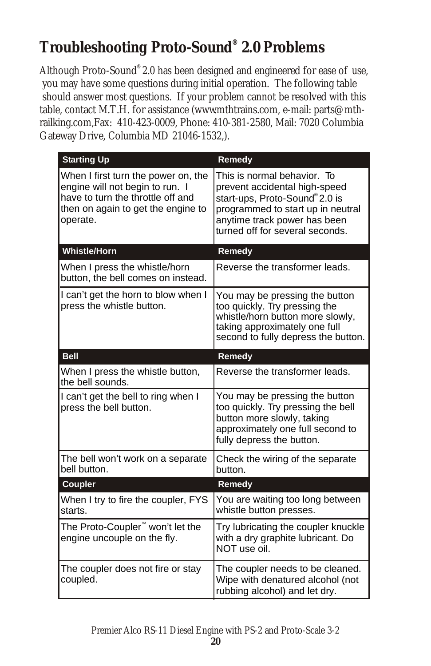# **® Troubleshooting Proto-Sound 2.0 Problems**

Although Proto-Sound® 2.0 has been designed and engineered for ease of use, you may have some questions during initial operation. The following table should answer most questions. If your problem cannot be resolved with this table, contact M.T.H. for assistance (www.mthtrains.com, e-mail: parts@mthrailking.com,Fax: 410-423-0009, Phone: 410-381-2580, Mail: 7020 Columbia Gateway Drive, Columbia MD 21046-1532,).

| <b>Starting Up</b>                                                                                                                                            | Remedy                                                                                                                                                                                                |
|---------------------------------------------------------------------------------------------------------------------------------------------------------------|-------------------------------------------------------------------------------------------------------------------------------------------------------------------------------------------------------|
| When I first turn the power on, the<br>engine will not begin to run. I<br>have to turn the throttle off and<br>then on again to get the engine to<br>operate. | This is normal behavior. To<br>prevent accidental high-speed<br>start-ups, Proto-Sound®2.0 is<br>programmed to start up in neutral<br>anytime track power has been<br>turned off for several seconds. |
| <b>Whistle/Horn</b>                                                                                                                                           | Remedy                                                                                                                                                                                                |
| When I press the whistle/horn<br>button, the bell comes on instead.                                                                                           | Reverse the transformer leads.                                                                                                                                                                        |
| I can't get the horn to blow when I<br>press the whistle button.                                                                                              | You may be pressing the button<br>too quickly. Try pressing the<br>whistle/horn button more slowly,<br>taking approximately one full<br>second to fully depress the button.                           |
| <b>Bell</b>                                                                                                                                                   | Remedy                                                                                                                                                                                                |
| When I press the whistle button,<br>the bell sounds.                                                                                                          | Reverse the transformer leads.                                                                                                                                                                        |
| I can't get the bell to ring when I<br>press the bell button.                                                                                                 | You may be pressing the button<br>too quickly. Try pressing the bell<br>button more slowly, taking<br>approximately one full second to<br>fully depress the button.                                   |
| The bell won't work on a separate<br>bell button.                                                                                                             | Check the wiring of the separate<br>button.                                                                                                                                                           |
| Coupler                                                                                                                                                       | Remedy                                                                                                                                                                                                |
| When I try to fire the coupler, FYS<br>starts.                                                                                                                | You are waiting too long between<br>whistle button presses.                                                                                                                                           |
| The Proto-Coupler™ won't let the<br>engine uncouple on the fly.                                                                                               | Try lubricating the coupler knuckle<br>with a dry graphite lubricant. Do<br>NOT use oil.                                                                                                              |
| The coupler does not fire or stay<br>coupled.                                                                                                                 | The coupler needs to be cleaned.<br>Wipe with denatured alcohol (not<br>rubbing alcohol) and let dry.                                                                                                 |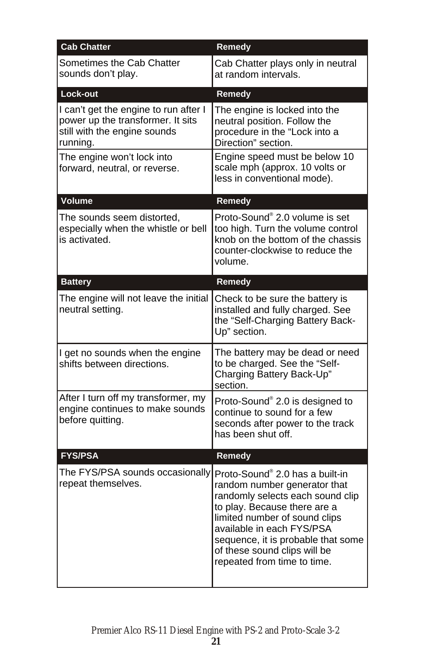| <b>Cab Chatter</b>                                                                                                     | Remedy                                                                                                                                                                                                                                                                                                 |
|------------------------------------------------------------------------------------------------------------------------|--------------------------------------------------------------------------------------------------------------------------------------------------------------------------------------------------------------------------------------------------------------------------------------------------------|
| Sometimes the Cab Chatter<br>sounds don't play.                                                                        | Cab Chatter plays only in neutral<br>at random intervals.                                                                                                                                                                                                                                              |
| Lock-out                                                                                                               | Remedy                                                                                                                                                                                                                                                                                                 |
| I can't get the engine to run after I<br>power up the transformer. It sits<br>still with the engine sounds<br>running. | The engine is locked into the<br>neutral position. Follow the<br>procedure in the "Lock into a<br>Direction" section.                                                                                                                                                                                  |
| The engine won't lock into<br>forward, neutral, or reverse.                                                            | Engine speed must be below 10<br>scale mph (approx. 10 volts or<br>less in conventional mode).                                                                                                                                                                                                         |
| <b>Volume</b>                                                                                                          | Remedy                                                                                                                                                                                                                                                                                                 |
| The sounds seem distorted,<br>especially when the whistle or bell<br>is activated.                                     | Proto-Sound® 2.0 volume is set<br>too high. Turn the volume control<br>knob on the bottom of the chassis<br>counter-clockwise to reduce the<br>volume.                                                                                                                                                 |
| <b>Battery</b>                                                                                                         | Remedy                                                                                                                                                                                                                                                                                                 |
| The engine will not leave the initial<br>neutral setting.                                                              | Check to be sure the battery is<br>installed and fully charged. See<br>the "Self-Charging Battery Back-<br>Up" section.                                                                                                                                                                                |
| I get no sounds when the engine<br>shifts between directions.                                                          | The battery may be dead or need<br>to be charged. See the "Self-<br>Charging Battery Back-Up"<br>section.                                                                                                                                                                                              |
| After I turn off my transformer, my<br>engine continues to make sounds<br>before quitting.                             | Proto-Sound® 2.0 is designed to<br>continue to sound for a few<br>seconds after power to the track<br>has been shut off.                                                                                                                                                                               |
| <b>FYS/PSA</b>                                                                                                         | Remedy                                                                                                                                                                                                                                                                                                 |
| The FYS/PSA sounds occasionally<br>repeat themselves.                                                                  | Proto-Sound® 2.0 has a built-in<br>random number generator that<br>randomly selects each sound clip<br>to play. Because there are a<br>limited number of sound clips<br>available in each FYS/PSA<br>sequence, it is probable that some<br>of these sound clips will be<br>repeated from time to time. |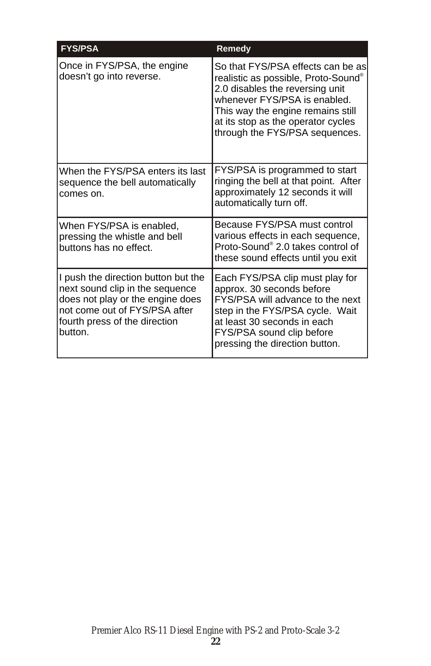| <b>FYS/PSA</b>                                                                                                                                                                          | Remedy                                                                                                                                                                                                                                                   |
|-----------------------------------------------------------------------------------------------------------------------------------------------------------------------------------------|----------------------------------------------------------------------------------------------------------------------------------------------------------------------------------------------------------------------------------------------------------|
| Once in FYS/PSA, the engine<br>doesn't go into reverse.                                                                                                                                 | So that FYS/PSA effects can be as<br>realistic as possible, Proto-Sound®<br>2.0 disables the reversing unit<br>whenever FYS/PSA is enabled.<br>This way the engine remains still<br>at its stop as the operator cycles<br>through the FYS/PSA sequences. |
| When the FYS/PSA enters its last<br>sequence the bell automatically<br>comes on.                                                                                                        | FYS/PSA is programmed to start<br>ringing the bell at that point. After<br>approximately 12 seconds it will<br>automatically turn off.                                                                                                                   |
| When FYS/PSA is enabled,<br>pressing the whistle and bell<br>buttons has no effect.                                                                                                     | Because FYS/PSA must control<br>various effects in each sequence,<br>Proto-Sound® 2.0 takes control of<br>these sound effects until you exit                                                                                                             |
| I push the direction button but the<br>next sound clip in the sequence<br>does not play or the engine does<br>not come out of FYS/PSA after<br>fourth press of the direction<br>button. | Each FYS/PSA clip must play for<br>approx. 30 seconds before<br>FYS/PSA will advance to the next<br>step in the FYS/PSA cycle. Wait<br>at least 30 seconds in each<br>FYS/PSA sound clip before<br>pressing the direction button.                        |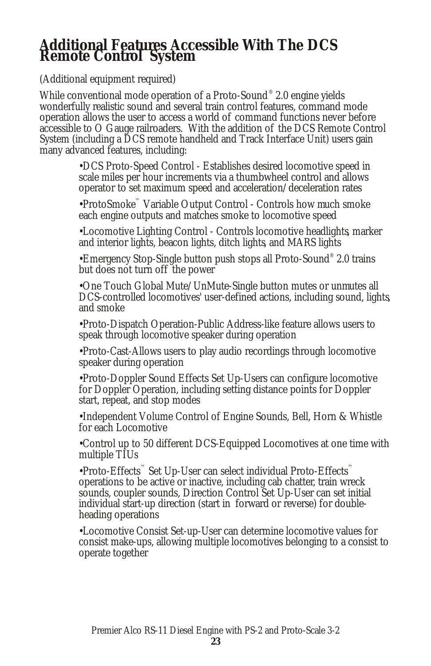# **Additional Features Accessible With The DCS Remote Control System**

(Additional equipment required)

While conventional mode operation of a Proto-Sound<sup>®</sup> 2.0 engine yields wonderfully realistic sound and several train control features, command mode operation allows the user to access a world of command functions never before accessible to O Gauge railroaders. With the addition of the DCS Remote Control System (including a DCS remote handheld and Track Interface Unit) users gain many advanced features, including:

> •DCS Proto-Speed Control - Establishes desired locomotive speed in scale miles per hour increments via a thumbwheel control and allows operator to set maximum speed and acceleration/deceleration rates

> •ProtoSmoke<sup>™</sup> Variable Output Control - Controls how much smoke each engine outputs and matches smoke to locomotive speed

•Locomotive Lighting Control - Controls locomotive headlights, marker and interior lights, beacon lights, ditch lights, and MARS lights

•Emergency Stop-Single button push stops all Proto-Sound® 2.0 trains but does not turn off the power

•One Touch Global Mute/UnMute-Single button mutes or unmutes all DCS-controlled locomotives' user-defined actions, including sound, lights, and smoke

•Proto-Dispatch Operation-Public Address-like feature allows users to speak through locomotive speaker during operation

•Proto-Cast-Allows users to play audio recordings through locomotive speaker during operation

•Proto-Doppler Sound Effects Set Up-Users can configure locomotive for Doppler Operation, including setting distance points for Doppler start, repeat, and stop modes

•Independent Volume Control of Engine Sounds, Bell, Horn & Whistle for each Locomotive

•Control up to 50 different DCS-Equipped Locomotives at one time with multiple TIUs

•Proto-Effects<sup>™</sup> Set Up-User can select individual Proto-Effects<sup>™</sup> operations to be active or inactive, including cab chatter, train wreck sounds, coupler sounds, Direction Control Set Up-User can set initial individual start-up direction (start in forward or reverse) for doubleheading operations

•Locomotive Consist Set-up-User can determine locomotive values for consist make-ups, allowing multiple locomotives belonging to a consist to operate together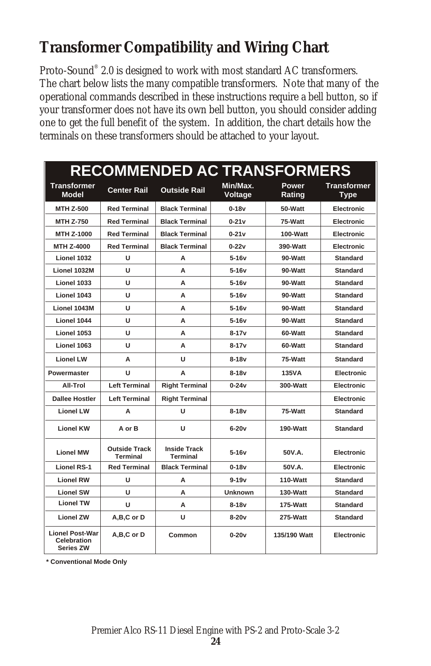# **Transformer Compatibility and Wiring Chart**

Proto-Sound® 2.0 is designed to work with most standard AC transformers. The chart below lists the many compatible transformers. Note that many of the operational commands described in these instructions require a bell button, so if your transformer does not have its own bell button, you should consider adding one to get the full benefit of the system. In addition, the chart details how the terminals on these transformers should be attached to your layout.

| <b>RECOMMENDED AC TRANSFORMERS</b>                        |                                  |                                        |                     |                        |                                   |
|-----------------------------------------------------------|----------------------------------|----------------------------------------|---------------------|------------------------|-----------------------------------|
| <b>Transformer</b><br><b>Model</b>                        | <b>Center Rail</b>               | <b>Outside Rail</b>                    | Min/Max.<br>Voltage | <b>Power</b><br>Rating | <b>Transformer</b><br><b>Type</b> |
| <b>MTH Z-500</b>                                          | <b>Red Terminal</b>              | <b>Black Terminal</b>                  | $0-18v$             | 50-Watt                | Electronic                        |
| <b>MTH Z-750</b>                                          | <b>Red Terminal</b>              | <b>Black Terminal</b>                  | $0-21v$             | 75-Watt                | <b>Electronic</b>                 |
| MTH Z-1000                                                | <b>Red Terminal</b>              | <b>Black Terminal</b>                  | $0-21v$             | $100-Watt$             | Electronic                        |
| <b>MTH Z-4000</b>                                         | <b>Red Terminal</b>              | <b>Black Terminal</b>                  | $0 - 22v$           | 390-Watt               | Electronic                        |
| Lionel 1032                                               | U                                | A                                      | $5-16v$             | 90-Watt                | <b>Standard</b>                   |
| Lionel 1032M                                              | U                                | A                                      | $5-16v$             | 90-Watt                | <b>Standard</b>                   |
| Lionel 1033                                               | U                                | A                                      | $5-16v$             | 90-Watt                | <b>Standard</b>                   |
| Lionel 1043                                               | U                                | A                                      | $5-16v$             | 90-Watt                | <b>Standard</b>                   |
| Lionel 1043M                                              | U                                | A                                      | $5-16v$             | 90-Watt                | <b>Standard</b>                   |
| Lionel 1044                                               | U                                | A                                      | $5-16v$             | 90-Watt                | <b>Standard</b>                   |
| Lionel 1053                                               | U                                | A                                      | $8 - 17v$           | 60-Watt                | <b>Standard</b>                   |
| Lionel 1063                                               | U                                | A                                      | $8 - 17v$           | 60-Watt                | <b>Standard</b>                   |
| <b>Lionel LW</b>                                          | A                                | U                                      | $8-18v$             | 75-Watt                | <b>Standard</b>                   |
| Powermaster                                               | U                                | A                                      | $8-18v$             | <b>135VA</b>           | Electronic                        |
| All-Trol                                                  | <b>Left Terminal</b>             | <b>Right Terminal</b>                  | $0 - 24v$           | 300-Watt               | Electronic                        |
| <b>Dallee Hostler</b>                                     | <b>Left Terminal</b>             | <b>Right Terminal</b>                  |                     |                        | Electronic                        |
| <b>Lionel LW</b>                                          | А                                | U                                      | $8-18v$             | 75-Watt                | <b>Standard</b>                   |
| <b>Lionel KW</b>                                          | A or B                           | U                                      | $6-20v$             | 190-Watt               | <b>Standard</b>                   |
| <b>Lionel MW</b>                                          | <b>Outside Track</b><br>Terminal | <b>Inside Track</b><br><b>Terminal</b> | $5-16v$             | 50V.A.                 | <b>Electronic</b>                 |
| <b>Lionel RS-1</b>                                        | <b>Red Terminal</b>              | <b>Black Terminal</b>                  | $0-18v$             | 50V.A.                 | Electronic                        |
| <b>Lionel RW</b>                                          | U                                | A                                      | $9 - 19v$           | 110-Watt               | <b>Standard</b>                   |
| <b>Lionel SW</b>                                          | u                                | A                                      | <b>Unknown</b>      | 130-Watt               | <b>Standard</b>                   |
| <b>Lionel TW</b>                                          | U                                | A                                      | $8-18v$             | 175-Watt               | <b>Standard</b>                   |
| <b>Lionel ZW</b>                                          | A,B,C or D                       | U                                      | $8-20v$             | 275-Watt               | <b>Standard</b>                   |
| <b>Lionel Post-War</b><br>Celebration<br><b>Series ZW</b> | A,B,C or D                       | Common                                 | $0-20v$             | 135/190 Watt           | Electronic                        |

**\* Conventional Mode Only**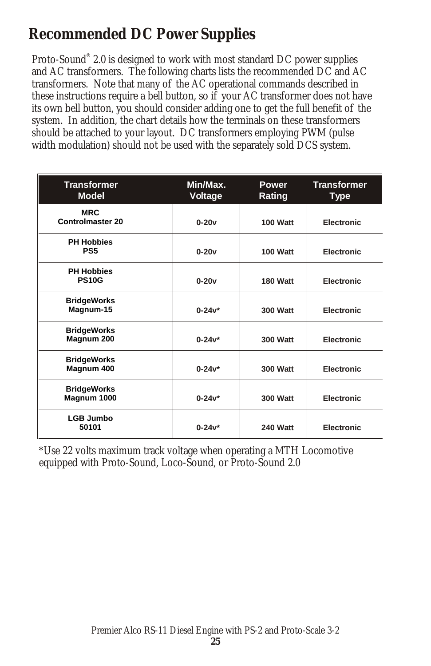## **Recommended DC Power Supplies**

Proto-Sound® 2.0 is designed to work with most standard DC power supplies and AC transformers. The following charts lists the recommended DC and AC transformers. Note that many of the AC operational commands described in these instructions require a bell button, so if your AC transformer does not have its own bell button, you should consider adding one to get the full benefit of the system. In addition, the chart details how the terminals on these transformers should be attached to your layout. DC transformers employing PWM (pulse width modulation) should not be used with the separately sold DCS system.

| <b>Transformer</b><br><b>Model</b>    | Min/Max.<br>Voltage | <b>Power</b><br>Rating | <b>Transformer</b><br><b>Type</b> |
|---------------------------------------|---------------------|------------------------|-----------------------------------|
| <b>MRC</b><br><b>Controlmaster 20</b> | $0-20v$             | 100 Watt               | <b>Electronic</b>                 |
| <b>PH Hobbies</b><br>PS <sub>5</sub>  | $0-20v$             | 100 Watt               | <b>Electronic</b>                 |
| <b>PH Hobbies</b><br><b>PS10G</b>     | $0-20v$             | 180 Watt               | <b>Electronic</b>                 |
| <b>BridgeWorks</b><br>Magnum-15       | $0 - 24v^*$         | <b>300 Watt</b>        | <b>Electronic</b>                 |
| <b>BridgeWorks</b><br>Magnum 200      | $0 - 24v^*$         | <b>300 Watt</b>        | <b>Electronic</b>                 |
| <b>BridgeWorks</b><br>Magnum 400      | $0 - 24v^*$         | <b>300 Watt</b>        | <b>Electronic</b>                 |
| <b>BridgeWorks</b><br>Magnum 1000     | $0 - 24v^*$         | <b>300 Watt</b>        | <b>Electronic</b>                 |
| <b>LGB Jumbo</b><br>50101             | $0 - 24v^*$         | <b>240 Watt</b>        | <b>Electronic</b>                 |

\*Use 22 volts maximum track voltage when operating a MTH Locomotive equipped with Proto-Sound, Loco-Sound, or Proto-Sound 2.0